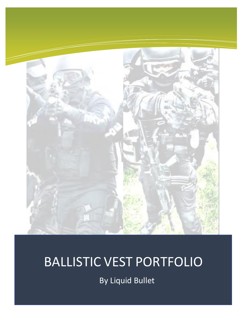

## Vst BALLISTIC VEST PORTFOLIO

By Liquid Bullet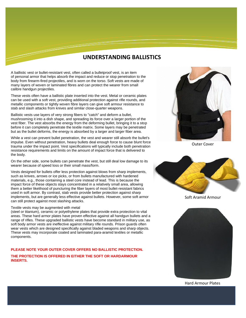### **UNDERSTANDING BALLISTICS**

A ballistic vest or bullet-resistant vest, often called a bulletproof vest, is an item of [personal armor](https://en.wikipedia.org/wiki/Personal_armor) that helps absorb the impact and reduce or stop penetration to the body from [firearm-](https://en.wikipedia.org/wiki/Firearm)fired [projectiles,](https://en.wikipedia.org/wiki/Projectile) and is worn on the [torso.](https://en.wikipedia.org/wiki/Trunk_(anatomy)) Soft vests are made of many layers of woven or laminated fibres and can protect the wearer from small calibre [handgun](https://en.wikipedia.org/wiki/Handgun) projectiles.

These vests often have a ballistic plate inserted into the vest. Metal or ceramic plates can be used with a soft vest, providing additional protection against [rifle](https://en.wikipedia.org/wiki/Rifle) rounds, and metallic components or tightly woven fibre layers can give soft armour resistance to stab and slash attacks from [knives](https://en.wikipedia.org/wiki/Knife) and similar close-quarter weapons.

Ballistic vests use layers of very strong fibers to "catch" and deform a bullet, mushrooming it into a dish shape, and spreading its force over a larger portion of the vest fiber. The vest absorbs the energy from the deforming bullet, bringing it to a stop before it can completely penetrate the textile matrix. Some layers may be penetrated but as the bullet deforms, the energy is absorbed by a larger and larger fiber area.

While a vest can prevent bullet penetration, the vest and wearer still absorb the bullet's impulse. Even without penetration, heavy bullets deal enough force to cause [blunt force](https://en.wikipedia.org/wiki/Blunt_trauma)  [trauma](https://en.wikipedia.org/wiki/Blunt_trauma) under the impact point. Vest specifications will typically include both penetration resistance requirements and limits on the amount of impact force that is delivered to the body.

On the other side, some bullets can penetrate the vest, but still deal low damage to its wearer because of speed loss or their small mass/form.

Vests designed for bullets offer less protection against blows from sharp implements, such as knives, arrows or [ice picks,](https://en.wikipedia.org/wiki/Ice_pick) or from bullets manufactured with hardened materials, e.g., those containing a steel core instead of lead. This is because the impact force of these objects stays concentrated in a relatively small area, allowing them a better likelihood of puncturing the fiber layers of most bullet-resistant fabrics used in soft armor. By contrast, [stab vests](https://en.wikipedia.org/wiki/Stab_vest) provide better protection against sharp implements, but are generally less effective against bullets. However, some soft armor can still protect against most slashing attacks.

#### Textile vests may be augmented with metal

[\(steel](https://en.wikipedia.org/wiki/Steel) or [titanium\)](https://en.wikipedia.org/wiki/Titanium), [ceramic](https://en.wikipedia.org/wiki/Ceramic#Other_applications_of_ceramics) or [polyethylene](https://en.wikipedia.org/wiki/Polyethylene#Classification) plates that provide extra protection to vital areas. These hard armor plates have proven effective against all handgun bullets and a range of rifles. These upgraded ballistic vests have become standard in military use, as soft body armor vests are ineffective against military rifle rounds. Prison guards often wear vests which are designed specifically against bladed weapons and sharp objects. These vests may incorporate coated and laminated para[-aramid](https://en.wikipedia.org/wiki/Aramid) textiles or metallic components.

#### **PLEASE NOTE YOUR OUTER COVER OFFERS NO BALLISTIC PROTECTION. THE PROTECTION IS OFFERED IN EITHER THE SOFT OR HARDARMOUR INSERTS.**



Outer Cover



Soft Aramid Armour



#### Hard Armour Plates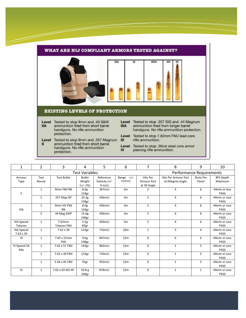#### WHAT ARE NIJ COMPLIANT ARMORS TESTED AGAINST? **IIA IIIA**  $\overline{\mathbf{u}}$ ш IV **EXISTING LEVELS OF PROTECTION** Level Tested to stop 9mm and .40 S&W Level Tested to stop .357 SIG and .44 Magnum ammunition fired from short barrel **IIIA** ammunition fired from longer barrel **IIA** handguns. No rifle ammunition handguns. No rifle ammunition protection. protection. Level Tested to stop 7.62mm FMJ lead core Level Tested to stop 9mm and .357 Magnum Ш rifle ammunition. ammunition fired from short barrel  $\mathbf{II}$ Level Tested to stop .30cal steel core armor handguns. No rifle ammunition  $\mathbf{N}$ piercing rifle ammunition. protection.

| $\mathbf{1}$        | $\overline{2}$ | 3                     | 4                        | 5                | 6                | 7               | 8                    | 9            | 10               |
|---------------------|----------------|-----------------------|--------------------------|------------------|------------------|-----------------|----------------------|--------------|------------------|
|                     |                | <b>Test Variables</b> | Performance Requirements |                  |                  |                 |                      |              |                  |
| Armour              | Test           | <b>Test Bullet</b>    | <b>Bullet</b>            | Reference        | Range<br>$(+/-)$ | <b>Hits Per</b> | Hits Per Armour Part | Shots Per    | <b>BFS Depth</b> |
| Type                | Round          |                       | Weight                   | Velocity $(+/-)$ | 0.025m)          | Armour Part     | at ODegree Angle     | Panel        | Maximum          |
|                     |                |                       | $(+/- 2%)$               | $9 \text{ m/s}$  |                  | at 30 Angle     |                      |              |                  |
|                     | $\mathbf{1}$   | 9mm FMJ RN            | 8.0 <sub>g</sub>         | 367m/s           | 5 <sub>m</sub>   | $\overline{2}$  | 4                    | 6            | 44mm or less     |
| Ш                   |                |                       | 124gr                    |                  |                  |                 |                      |              | <b>PASS</b>      |
|                     | $\overline{2}$ | 357 Mag JSP           | 10.2 <sub>g</sub>        | 436m/s           | 5 <sub>m</sub>   | $\overline{2}$  | 4                    | 6            | 44mm or Less     |
|                     |                |                       | 158gr                    |                  |                  |                 |                      |              | PASS             |
|                     | $\mathbf{1}$   | 9mm HV FMJ            | 8.0 <sub>g</sub>         | 436m/s           | 5 <sub>m</sub>   | $\overline{2}$  | 4                    | 6            | 44mm or Less     |
| <b>IIIA</b>         |                | <b>RN</b>             | 124gr                    |                  |                  |                 |                      |              | <b>PASS</b>      |
|                     | $\overline{2}$ | 44 Mag SJHP           | 15.6g                    | 436m/s           | 5 <sub>m</sub>   | $\overline{2}$  | 4                    | 6            | 44mm or Less     |
|                     |                |                       | 240gr                    |                  |                  |                 |                      |              | <b>PASS</b>      |
| <b>IIIA Special</b> | $\mathbf{1}$   | 7.62mm                | 5.5g                     | 450m/s           | 5 <sub>m</sub>   | $\overline{2}$  | 4                    | 6            | 44mm or Less     |
| Tokarev             |                | <b>Tokarev FMJ</b>    | 85gr                     |                  |                  |                 |                      |              | <b>PASS</b>      |
| <b>IIIA Special</b> | $\mathbf{1}$   | $7.62 \times 39$      | 123gr                    | 710m/s           | 10 <sub>m</sub>  | $\mathbf{1}$    | 3                    | 4            | 44mm or Less     |
| $7.62 \times 39$    |                |                       |                          |                  |                  |                 |                      |              | PASS             |
| $\mathbf{III}$      | $\mathbf{1}$   | 7.62 x 51mm           | 9.6 <sub>g</sub>         | 847m/s           | 15 <sub>m</sub>  | $\mathbf 0$     | 6                    | 6            | 44mm or Less     |
|                     |                | <b>FMJ</b>            | 148 <sub>gr</sub>        |                  |                  |                 |                      |              | <b>PASS</b>      |
| III Special SA      | $\mathbf{1}$   | 7.62 x 51 FMJ         | 143 <sub>gr</sub>        | 862m/s           | 15 <sub>m</sub>  | $\mathbf 0$     | $\mathbf{1}$         | 5            | 44mm or Less     |
| Mix                 |                |                       |                          |                  |                  |                 |                      |              | <b>PASS</b>      |
|                     | $\mathbf{1}$   | 7.62 x 39 FMJ         | 123gr                    | 710m/s           | 15 <sub>m</sub>  | $\mathbf 0$     | $\mathbf{1}$         | 5            | 44mm or Less     |
|                     |                |                       |                          |                  |                  |                 |                      |              | PASS             |
|                     | $\mathbf{1}$   | 5.56 x 45 FMJ         | 55gr                     | 955m/s           | 15m              | $\mathbf 0$     | $\mathbf{1}$         | 5            | 44mm or Less     |
|                     |                |                       |                          |                  |                  |                 |                      |              | <b>PASS</b>      |
| IV                  | $\mathbf{1}$   | 7.62 x 63 M2 AP       | 10.8 <sub>g</sub>        | 878m/s           | 15 <sub>m</sub>  | $\Omega$        | $\mathbf{1}$         | $\mathbf{1}$ | 44mm or Less     |
|                     |                |                       | 166gr                    |                  |                  |                 |                      |              | <b>PASS</b>      |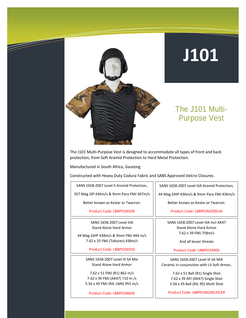

### The J101 Multi-Purpose Vest

The J101 Multi-Purpose Vest is designed to accommodate all types of front and back protection, from Soft Aramid Protection to Hard Metal Protection.

Manufactured in South Africa, Gauteng

Constructed with Heavy Duty Codura Fabric and SABS Approved Velcro Closures.

| SANS 1658:2007 Level II Aramid Protection, |
|--------------------------------------------|
|--------------------------------------------|

357 Mag JSP 436m/s & 9mm Para FMJ 367m/s

Better known as Kevlar or Twarron.

Product Code: LBBP01M200

SANS 1658:2007 Level IIIA Stand Alone Hard Armor

44 Mag SJHP 438m/s & 9mm FMJ 444 m/s 7.62 x 25 FMJ (Tokarev) 438m/s

Product Code: LBBP01M250

SANS 1658:2007 Level III SA Mix Stand Alone Hard Armor

7.62 x 51 FMJ (R1) 862 m/s 7.62 x 39 FMJ (AK47) 710 m /s 5.56 x 45 FMJ (R4, LM4) 955 m/s

Product Code: LBBP01M600

SANS 1658:2007 Level IIIA Aramid Protection,

44 Mag SJHP 436m/s & 9mm Para FMJ 436m/s

Better known as Kevlar or Twarron.

Product Code: LBBP01M200LIIA

SANS 1658:2007 Level IIIA Incl AK47 Stand Alone Hard Armor 7.62 x 39 FMJ 758m/s

And all lesser threats

Product Code: LBBP01M400

SANS 1658:2007 Level III SA MIX Ceramic in conjunction with LII Soft Armor,

> 7.62 x 51 Ball (R1) Single Shot 7.62 x 39 API (AK47) Single Shot 5.56 x 45 Ball (R4, R5) Multi Shot

Product Code: LBBP01M200LIIICER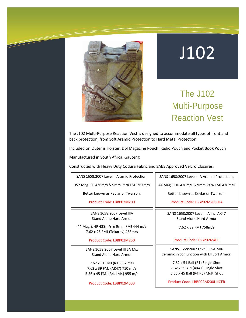

## The J102 Multi-Purpose Reaction Vest

The J102 Multi-Purpose Reaction Vest is designed to accommodate all types of front and back protection, from Soft Aramid Protection to Hard Metal Protection.

Included on Outer is Holster, Dbl Magazine Pouch, Radio Pouch and Pocket Book Pouch

Manufactured in South Africa, Gauteng

Constructed with Heavy Duty Codura Fabric and SABS Approved Velcro Closures.

SANS 1658:2007 Level II Aramid Protection,

357 Mag JSP 436m/s & 9mm Para FMJ 367m/s

Better known as Kevlar or Twarron.

Product Code: LBBP02M200

SANS 1658:2007 Level IIIA Stand Alone Hard Armor

44 Mag SJHP 438m/s & 9mm FMJ 444 m/s 7.62 x 25 FMJ (Tokarev) 438m/s

Product Code: LBBP02M250

SANS 1658:2007 Level III SA Mix Stand Alone Hard Armor

7.62 x 51 FMJ (R1) 862 m/s 7.62 x 39 FMJ (AK47) 710 m /s 5.56 x 45 FMJ (R4, LM4) 955 m/s

Product Code: LBBP02M600

SANS 1658:2007 Level IIIA Aramid Protection,

44 Mag SJHP 436m/s & 9mm Para FMJ 436m/s

Better known as Kevlar or Twarron.

Product Code: LBBP02M200LIIA

SANS 1658:2007 Level IIIA Incl AK47 Stand Alone Hard Armor

7.62 x 39 FMJ 758m/s

#### Product Code: LBBP02M400

SANS 1658:2007 Level III SA MIX Ceramic in conjunction with LII Soft Armor,

> 7.62 x 51 Ball (R1) Single Shot 7.62 x 39 API (AK47) Single Shot 5.56 x 45 Ball (R4,R5) Multi Shot

Product Code: LBBP02M200LIIICER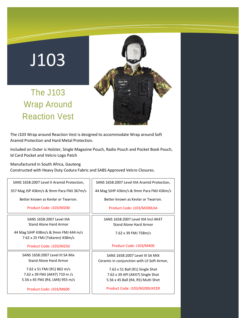The J103 Wrap Around Reaction Vest



The J103 Wrap around Reaction Vest is designed to accommodate Wrap around Soft Aramid Protection and Hard Metal Protection.

Included on Outer is Holster, Single Magazine Pouch, Radio Pouch and Pocket Book Pouch, Id Card Pocket and Velcro Logo Patch

ת ה

Manufactured in South Africa, Gauteng

Constructed with Heavy Duty Codura Fabric and SABS Approved Velcro Closures.

| SANS 1658:2007 Level II Aramid Protection,                             | SANS 1658:2007 Level IIIA Aramid Protection, |  |  |  |
|------------------------------------------------------------------------|----------------------------------------------|--|--|--|
| 357 Mag JSP 436m/s & 9mm Para FMJ 367m/s                               | 44 Mag SJHP 436m/s & 9mm Para FMJ 436m/s     |  |  |  |
| Better known as Keylar or Twarron.                                     | Better known as Keylar or Twarron.           |  |  |  |
| Product Code: J103/M200                                                | Product Code: J103/M200LIIA                  |  |  |  |
| SANS 1658:2007 Level IIIA                                              | SANS 1658:2007 Level IIIA Incl AK47          |  |  |  |
| <b>Stand Alone Hard Armor</b>                                          | Stand Alone Hard Armor                       |  |  |  |
| 44 Mag SJHP 438m/s & 9mm FMJ 444 m/s<br>7.62 x 25 FMJ (Tokarev) 438m/s | 7.62 x 39 FMJ 758m/s                         |  |  |  |
| Product Code: J103/M250                                                | Product Code: J103/M400                      |  |  |  |
| SANS 1658:2007 Level III SA Mix                                        | SANS 1658:2007 Level III SA MIX              |  |  |  |
| Stand Alone Hard Armor                                                 | Ceramic in conjunction with LII Soft Armor,  |  |  |  |
| 7.62 x 51 FMJ (R1) 862 m/s                                             | 7.62 x 51 Ball (R1) Single Shot              |  |  |  |
| 7.62 x 39 FMJ (AK47) 710 m /s                                          | 7.62 x 39 API (AK47) Single Shot             |  |  |  |
| 5.56 x 45 FMJ (R4, LM4) 955 m/s                                        | 5.56 x 45 Ball (R4, R5) Multi Shot           |  |  |  |
| Product Code: J103/M600                                                | Product Code: J103/M200LIIICER               |  |  |  |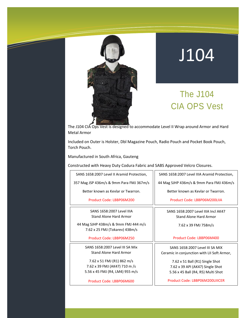

 $\overline{\mathscr{S}}$ 

## J104

## The J104 CIA OPS Vest

The J104 CIA Ops Vest is designed to accommodate Level II Wrap around Armor and Hard Metal Armor

Included on Outer is Holster, Dbl Magazine Pouch, Radio Pouch and Pocket Book Pouch, Torch Pouch.

Manufactured in South Africa, Gauteng

Constructed with Heavy Duty Codura Fabric and SABS Approved Velcro Closures.

| SANS 1658:2007 Level II Aramid Protection,                             | SANS 1658:2007 Level IIIA Aramid Protection, |  |  |  |
|------------------------------------------------------------------------|----------------------------------------------|--|--|--|
| 357 Mag JSP 436m/s & 9mm Para FMJ 367m/s                               | 44 Mag SJHP 436m/s & 9mm Para FMJ 436m/s     |  |  |  |
| Better known as Keylar or Twarron.                                     | Better known as Keylar or Twarron.           |  |  |  |
| Product Code: LBBP06M200                                               | Product Code: LBBP06M200LIIA                 |  |  |  |
| SANS 1658:2007 Level IIIA                                              | SANS 1658:2007 Level IIIA Incl AK47          |  |  |  |
| Stand Alone Hard Armor                                                 | Stand Alone Hard Armor                       |  |  |  |
| 44 Mag SJHP 438m/s & 9mm FMJ 444 m/s<br>7.62 x 25 FMJ (Tokarev) 438m/s | 7.62 x 39 FMJ 758m/s                         |  |  |  |
| Product Code: LBBP06M250                                               | Product Code: LBBP06M400                     |  |  |  |
| SANS 1658:2007 Level III SA Mix                                        | SANS 1658:2007 Level III SA MIX              |  |  |  |
| Stand Alone Hard Armor                                                 | Ceramic in conjunction with LII Soft Armor,  |  |  |  |
| 7.62 x 51 FMJ (R1) 862 m/s                                             | 7.62 x 51 Ball (R1) Single Shot              |  |  |  |
| 7.62 x 39 FMJ (AK47) 710 m /s                                          | 7.62 x 39 API (AK47) Single Shot             |  |  |  |
| 5.56 x 45 FMJ (R4, LM4) 955 m/s                                        | 5.56 x 45 Ball (R4, R5) Multi Shot           |  |  |  |
| Product Code: LBBP06M600                                               | Product Code: LBBP06M200LIIICER              |  |  |  |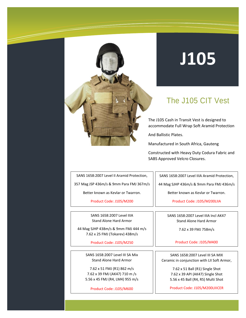

### The J105 CIT Vest

The J105 Cash in Transit Vest is designed to accommodate Full Wrap Soft Aramid Protection

And Ballistic Plates.

Manufactured in South Africa, Gauteng

Constructed with Heavy Duty Codura Fabric and SABS Approved Velcro Closures.

SANS 1658:2007 Level II Aramid Protection,

357 Mag JSP 436m/s & 9mm Para FMJ 367m/s

Better known as Kevlar or Twarron.

Product Code: J105/M200

SANS 1658:2007 Level IIIA Stand Alone Hard Armor

44 Mag SJHP 438m/s & 9mm FMJ 444 m/s 7.62 x 25 FMJ (Tokarev) 438m/s

Product Code: J105/M250

SANS 1658:2007 Level III SA Mix Stand Alone Hard Armor

7.62 x 51 FMJ (R1) 862 m/s 7.62 x 39 FMJ (AK47) 710 m /s 5.56 x 45 FMJ (R4, LM4) 955 m/s

Product Code: J105/M600

SANS 1658:2007 Level IIIA Aramid Protection,

44 Mag SJHP 436m/s & 9mm Para FMJ 436m/s

Better known as Kevlar or Twarron.

Product Code: J105/M200LIIA

SANS 1658:2007 Level IIIA Incl AK47 Stand Alone Hard Armor

7.62 x 39 FMJ 758m/s

Product Code: J105/M400

SANS 1658:2007 Level III SA MIX Ceramic in conjunction with LII Soft Armor,

> 7.62 x 51 Ball (R1) Single Shot 7.62 x 39 API (AK47) Single Shot 5.56 x 45 Ball (R4, R5) Multi Shot

> Product Code: J105/M200LIIICER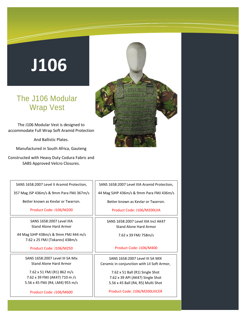### The J106 Modular Wrap Vest

The J106 Modular Vest is designed to accommodate Full Wrap Soft Aramid Protection

And Ballistic Plates.

Manufactured in South Africa, Gauteng

Constructed with Heavy Duty Codura Fabric and SABS Approved Velcro Closures.



357 Mag JSP 436m/s & 9mm Para FMJ 367m/s

Better known as Kevlar or Twarron.

#### Product Code: J106/M200

SANS 1658:2007 Level IIIA Stand Alone Hard Armor

44 Mag SJHP 438m/s & 9mm FMJ 444 m/s 7.62 x 25 FMJ (Tokarev) 438m/s

Product Code: J106/M250

SANS 1658:2007 Level III SA Mix Stand Alone Hard Armor

7.62 x 51 FMJ (R1) 862 m/s 7.62 x 39 FMJ (AK47) 710 m /s 5.56 x 45 FMJ (R4, LM4) 955 m/s

Product Code: J106/M600

SANS 1658:2007 Level IIIA Aramid Protection, 44 Mag SJHP 436m/s & 9mm Para FMJ 436m/s

Better known as Kevlar or Twarron.

Product Code: J106/M200LIIA

SANS 1658:2007 Level IIIA Incl AK47 Stand Alone Hard Armor

7.62 x 39 FMJ 758m/s

Product Code: J106/M400

SANS 1658:2007 Level III SA MIX Ceramic in conjunction with LII Soft Armor,

> 7.62 x 51 Ball (R1) Single Shot 7.62 x 39 API (AK47) Single Shot 5.56 x 45 Ball (R4, R5) Multi Shot

> Product Code: J106/M200LIIICER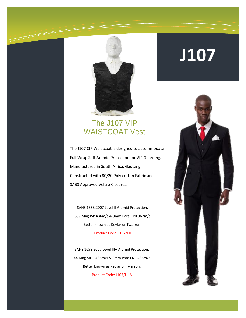

### The J107 VIP WAISTCOAT Vest

The J107 CIP Waistcoat is designed to accommodate Full Wrap Soft Aramid Protection for VIP Guarding. Manufactured in South Africa, Gauteng Constructed with 80/20 Poly cotton Fabric and SABS Approved Velcro Closures.

SANS 1658:2007 Level II Aramid Protection, 357 Mag JSP 436m/s & 9mm Para FMJ 367m/s Better known as Kevlar or Twarron.

Product Code: J107/LII

SANS 1658:2007 Level IIIA Aramid Protection, 44 Mag SJHP 436m/s & 9mm Para FMJ 436m/s Better known as Kevlar or Twarron.

Product Code: J107/LIIIA

## **J107**

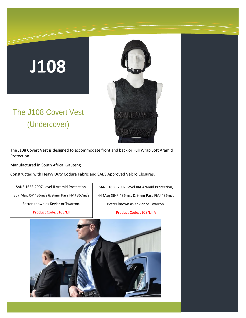### The J108 Covert Vest (Undercover)



The J108 Covert Vest is designed to accommodate front and back or Full Wrap Soft Aramid Protection

Manufactured in South Africa, Gauteng

Constructed with Heavy Duty Codura Fabric and SABS Approved Velcro Closures.

SANS 1658:2007 Level II Aramid Protection, 357 Mag JSP 436m/s & 9mm Para FMJ 367m/s

Better known as Kevlar or Twarron.

Product Code: J108/LII

SANS 1658:2007 Level IIIA Aramid Protection, 44 Mag SJHP 436m/s & 9mm Para FMJ 436m/s Better known as Kevlar or Twarron. Product Code: J108/LIIIA

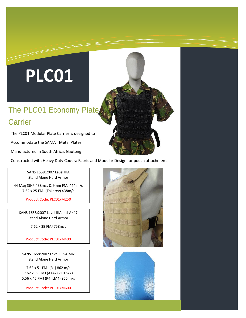# **PLC01**

## The PLC01 Economy Plate **Carrier**

The PLC01 Modular Plate Carrier is designed to

Accommodate the SAMAT Metal Plates

Manufactured in South Africa, Gauteng

Constructed with Heavy Duty Codura Fabric and Modular Design for pouch attachments.

SANS 1658:2007 Level IIIA Stand Alone Hard Armor

44 Mag SJHP 438m/s & 9mm FMJ 444 m/s 7.62 x 25 FMJ (Tokarev) 438m/s

Product Code: PLC01/M250

SANS 1658:2007 Level IIIA Incl AK47 Stand Alone Hard Armor

7.62 x 39 FMJ 758m/s

Product Code: PLC01/M400

SANS 1658:2007 Level III SA Mix Stand Alone Hard Armor

7.62 x 51 FMJ (R1) 862 m/s 7.62 x 39 FMJ (AK47) 710 m /s 5.56 x 45 FMJ (R4, LM4) 955 m/s

Product Code: PLC01/M600



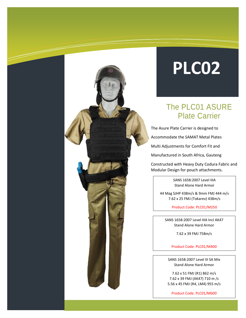## **PLC02**

### The PLC01 ASURE Plate Carrier

The Asure Plate Carrier is designed to

Accommodate the SAMAT Metal Plates

Multi Adjustments for Comfort Fit and

Manufactured in South Africa, Gauteng

Constructed with Heavy Duty Codura Fabric and Modular Design for pouch attachments.

> SANS 1658:2007 Level IIIA Stand Alone Hard Armor

44 Mag SJHP 438m/s & 9mm FMJ 444 m/s 7.62 x 25 FMJ (Tokarev) 438m/s

Product Code: PLC01/M250

SANS 1658:2007 Level IIIA Incl AK47 Stand Alone Hard Armor

7.62 x 39 FMJ 758m/s

Product Code: PLC01/M400

SANS 1658:2007 Level III SA Mix Stand Alone Hard Armor

7.62 x 51 FMJ (R1) 862 m/s 7.62 x 39 FMJ (AK47) 710 m /s 5.56 x 45 FMJ (R4, LM4) 955 m/s

Product Code: PLC01/M600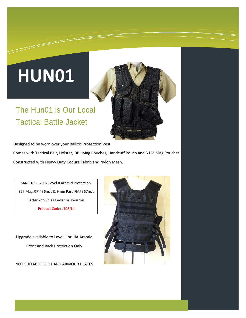# **HUN01**

## The Hun01 is Our Local Tactical Battle Jacket

Designed to be worn over your Ballitic Protection Vest.

Comes with Tactical Belt, Holster, DBL Mag Pouches, Handcuff Pouch and 3 LM Mag Pouches Constructed with Heavy Duty Codura Fabric and Nylon Mesh.

SANS 1658:2007 Level II Aramid Protection, 357 Mag JSP 436m/s & 9mm Para FMJ 367m/s Better known as Kevlar or Twarron. Product Code: J108/LII

Upgrade available to Level II or IIIA Aramid Front and Back Protection Only

NOT SUITABLE FOR HARD ARMOUR PLATES